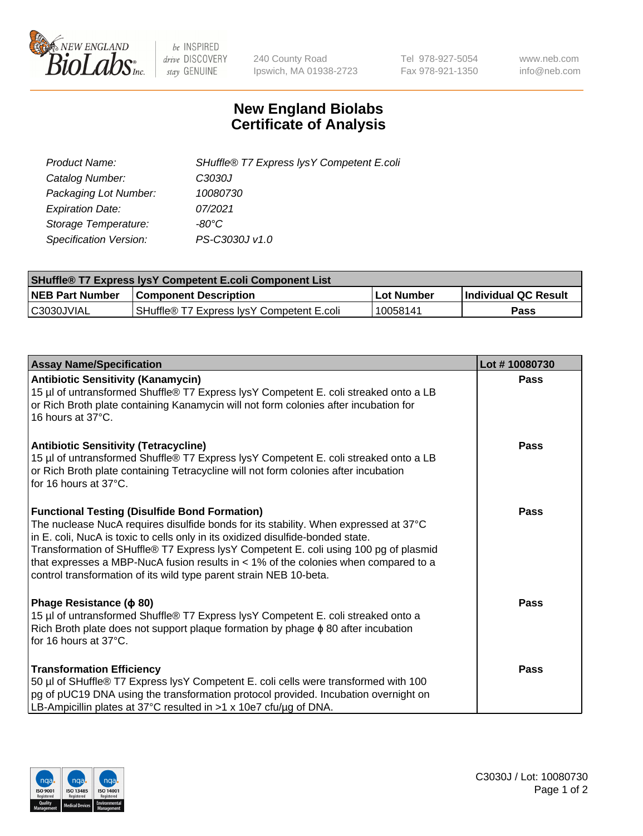

 $be$  INSPIRED drive DISCOVERY stay GENUINE

240 County Road Ipswich, MA 01938-2723 Tel 978-927-5054 Fax 978-921-1350 www.neb.com info@neb.com

## **New England Biolabs Certificate of Analysis**

| SHuffle® T7 Express lysY Competent E.coli |
|-------------------------------------------|
| C3030J                                    |
| 10080730                                  |
| 07/2021                                   |
| -80°C                                     |
| PS-C3030J v1.0                            |
|                                           |

| <b>SHuffle® T7 Express lysY Competent E.coli Component List</b> |                                             |            |                             |  |
|-----------------------------------------------------------------|---------------------------------------------|------------|-----------------------------|--|
| <b>NEB Part Number</b>                                          | <b>Component Description</b>                | Lot Number | <b>Individual QC Result</b> |  |
| C3030JVIAL                                                      | ISHuffle® T7 Express IvsY Competent E.coli_ | 10058141   | Pass                        |  |

| <b>Assay Name/Specification</b>                                                                                                                                                                                                                                                                                                                                                                                                                                                        | Lot #10080730 |
|----------------------------------------------------------------------------------------------------------------------------------------------------------------------------------------------------------------------------------------------------------------------------------------------------------------------------------------------------------------------------------------------------------------------------------------------------------------------------------------|---------------|
| <b>Antibiotic Sensitivity (Kanamycin)</b><br>15 µl of untransformed Shuffle® T7 Express lysY Competent E. coli streaked onto a LB<br>or Rich Broth plate containing Kanamycin will not form colonies after incubation for<br>16 hours at 37°C.                                                                                                                                                                                                                                         | <b>Pass</b>   |
| <b>Antibiotic Sensitivity (Tetracycline)</b><br>15 µl of untransformed Shuffle® T7 Express lysY Competent E. coli streaked onto a LB<br>or Rich Broth plate containing Tetracycline will not form colonies after incubation<br>for 16 hours at 37°C.                                                                                                                                                                                                                                   | Pass          |
| <b>Functional Testing (Disulfide Bond Formation)</b><br>The nuclease NucA requires disulfide bonds for its stability. When expressed at 37°C<br>in E. coli, NucA is toxic to cells only in its oxidized disulfide-bonded state.<br>Transformation of SHuffle® T7 Express lysY Competent E. coli using 100 pg of plasmid<br>that expresses a MBP-NucA fusion results in $<$ 1% of the colonies when compared to a<br>control transformation of its wild type parent strain NEB 10-beta. | Pass          |
| Phage Resistance ( $\phi$ 80)<br>15 µl of untransformed Shuffle® T7 Express lysY Competent E. coli streaked onto a<br>Rich Broth plate does not support plaque formation by phage $\phi$ 80 after incubation<br>for 16 hours at 37°C.                                                                                                                                                                                                                                                  | Pass          |
| <b>Transformation Efficiency</b><br>50 µl of SHuffle® T7 Express lysY Competent E. coli cells were transformed with 100<br>pg of pUC19 DNA using the transformation protocol provided. Incubation overnight on<br>LB-Ampicillin plates at 37°C resulted in >1 x 10e7 cfu/ug of DNA.                                                                                                                                                                                                    | Pass          |